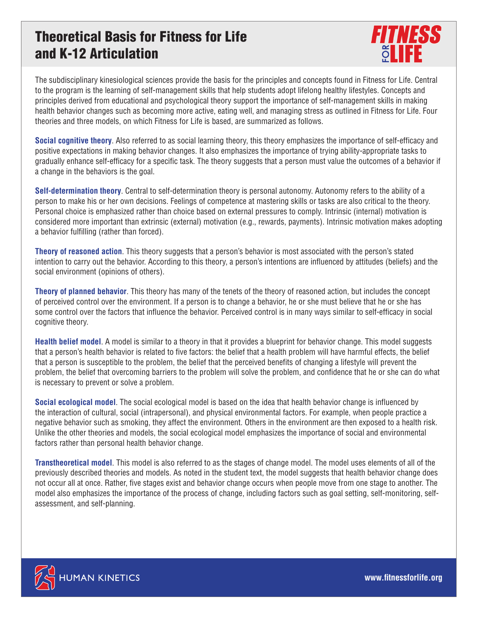## Theoretical Basis for Fitness for Life and K-12 Articulation



The subdisciplinary kinesiological sciences provide the basis for the principles and concepts found in Fitness for Life. Central to the program is the learning of self-management skills that help students adopt lifelong healthy lifestyles. Concepts and principles derived from educational and psychological theory support the importance of self-management skills in making health behavior changes such as becoming more active, eating well, and managing stress as outlined in Fitness for Life. Four theories and three models, on which Fitness for Life is based, are summarized as follows.

**Social cognitive theory**. Also referred to as social learning theory, this theory emphasizes the importance of self-efficacy and positive expectations in making behavior changes. It also emphasizes the importance of trying ability-appropriate tasks to gradually enhance self-efficacy for a specific task. The theory suggests that a person must value the outcomes of a behavior if a change in the behaviors is the goal.

**Self-determination theory**. Central to self-determination theory is personal autonomy. Autonomy refers to the ability of a person to make his or her own decisions. Feelings of competence at mastering skills or tasks are also critical to the theory. Personal choice is emphasized rather than choice based on external pressures to comply. Intrinsic (internal) motivation is considered more important than extrinsic (external) motivation (e.g., rewards, payments). Intrinsic motivation makes adopting a behavior fulfilling (rather than forced).

**Theory of reasoned action**. This theory suggests that a person's behavior is most associated with the person's stated intention to carry out the behavior. According to this theory, a person's intentions are influenced by attitudes (beliefs) and the social environment (opinions of others).

**Theory of planned behavior**. This theory has many of the tenets of the theory of reasoned action, but includes the concept of perceived control over the environment. If a person is to change a behavior, he or she must believe that he or she has some control over the factors that influence the behavior. Perceived control is in many ways similar to self-efficacy in social cognitive theory.

**Health belief model**. A model is similar to a theory in that it provides a blueprint for behavior change. This model suggests that a person's health behavior is related to five factors: the belief that a health problem will have harmful effects, the belief that a person is susceptible to the problem, the belief that the perceived benefits of changing a lifestyle will prevent the problem, the belief that overcoming barriers to the problem will solve the problem, and confidence that he or she can do what is necessary to prevent or solve a problem.

**Social ecological model**. The social ecological model is based on the idea that health behavior change is influenced by the interaction of cultural, social (intrapersonal), and physical environmental factors. For example, when people practice a negative behavior such as smoking, they affect the environment. Others in the environment are then exposed to a health risk. Unlike the other theories and models, the social ecological model emphasizes the importance of social and environmental factors rather than personal health behavior change.

**Transtheoretical model**. This model is also referred to as the stages of change model. The model uses elements of all of the previously described theories and models. As noted in the student text, the model suggests that health behavior change does not occur all at once. Rather, five stages exist and behavior change occurs when people move from one stage to another. The model also emphasizes the importance of the process of change, including factors such as goal setting, self-monitoring, selfassessment, and self-planning.